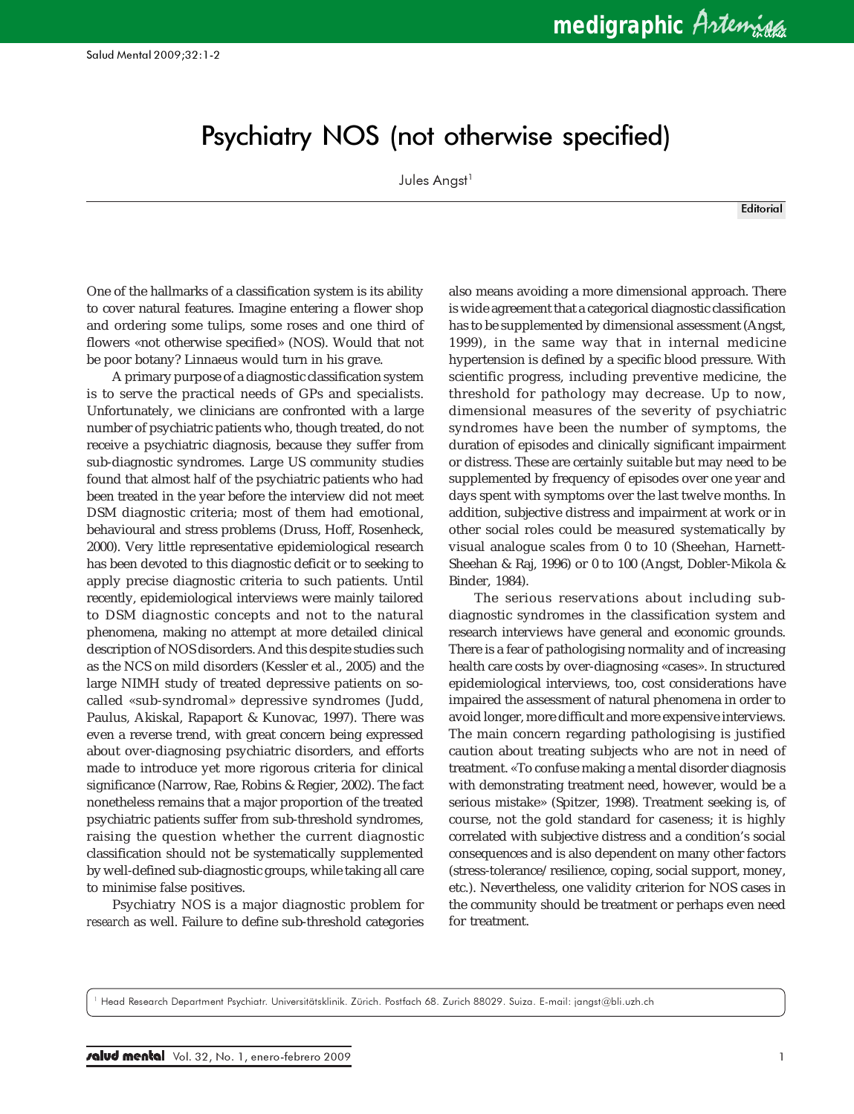## Psychiatry NOS (not otherwise specified)

Jules Angst<sup>1</sup>

**Editorial** 

One of the hallmarks of a classification system is its ability to cover natural features. Imagine entering a flower shop and ordering some tulips, some roses and one third of flowers «not otherwise specified» (NOS). Would that not be poor botany? Linnaeus would turn in his grave.

A primary purpose of a diagnostic classification system is to serve the practical needs of GPs and specialists. Unfortunately, we clinicians are confronted with a large number of psychiatric patients who, though treated, do not receive a psychiatric diagnosis, because they suffer from sub-diagnostic syndromes. Large US community studies found that almost half of the psychiatric patients who had been treated in the year before the interview did not meet DSM diagnostic criteria; most of them had emotional, behavioural and stress problems (Druss, Hoff, Rosenheck, 2000). Very little representative epidemiological research has been devoted to this diagnostic deficit or to seeking to apply precise diagnostic criteria to such patients. Until recently, epidemiological interviews were mainly tailored to DSM diagnostic concepts and not to the natural phenomena, making no attempt at more detailed clinical description of NOS disorders. And this despite studies such as the NCS on mild disorders (Kessler et al., 2005) and the large NIMH study of treated depressive patients on socalled «sub-syndromal» depressive syndromes (Judd, Paulus, Akiskal, Rapaport & Kunovac, 1997). There was even a reverse trend, with great concern being expressed about over-diagnosing psychiatric disorders, and efforts made to introduce yet more rigorous criteria for clinical significance (Narrow, Rae, Robins & Regier, 2002). The fact nonetheless remains that a major proportion of the treated psychiatric patients suffer from sub-threshold syndromes, raising the question whether the current diagnostic classification should not be systematically supplemented by well-defined sub-diagnostic groups, while taking all care to minimise false positives.

Psychiatry NOS is a major diagnostic problem for *research* as well. Failure to define sub-threshold categories

also means avoiding a more dimensional approach. There is wide agreement that a categorical diagnostic classification has to be supplemented by dimensional assessment (Angst, 1999), in the same way that in internal medicine hypertension is defined by a specific blood pressure. With scientific progress, including preventive medicine, the threshold for pathology may decrease. Up to now, dimensional measures of the severity of psychiatric syndromes have been the number of symptoms, the duration of episodes and clinically significant impairment or distress. These are certainly suitable but may need to be supplemented by frequency of episodes over one year and days spent with symptoms over the last twelve months. In addition, subjective distress and impairment at work or in other social roles could be measured systematically by visual analogue scales from 0 to 10 (Sheehan, Harnett-Sheehan & Raj, 1996) or 0 to 100 (Angst, Dobler-Mikola & Binder, 1984).

The serious reservations about including subdiagnostic syndromes in the classification system and research interviews have general and economic grounds. There is a fear of pathologising normality and of increasing health care costs by over-diagnosing «cases». In structured epidemiological interviews, too, cost considerations have impaired the assessment of natural phenomena in order to avoid longer, more difficult and more expensive interviews. The main concern regarding pathologising is justified caution about treating subjects who are not in need of treatment. «To confuse making a mental disorder diagnosis with demonstrating treatment need, however, would be a serious mistake» (Spitzer, 1998). Treatment seeking is, of course, not the gold standard for caseness; it is highly correlated with subjective distress and a condition's social consequences and is also dependent on many other factors (stress-tolerance/resilience, coping, social support, money, etc.). Nevertheless, one validity criterion for NOS cases in the community should be treatment or perhaps even need for treatment.

<sup>1</sup> Head Research Department Psychiatr. Universitätsklinik. Zürich. Postfach 68. Zurich 88029. Suiza. E-mail: jangst@bli.uzh.ch